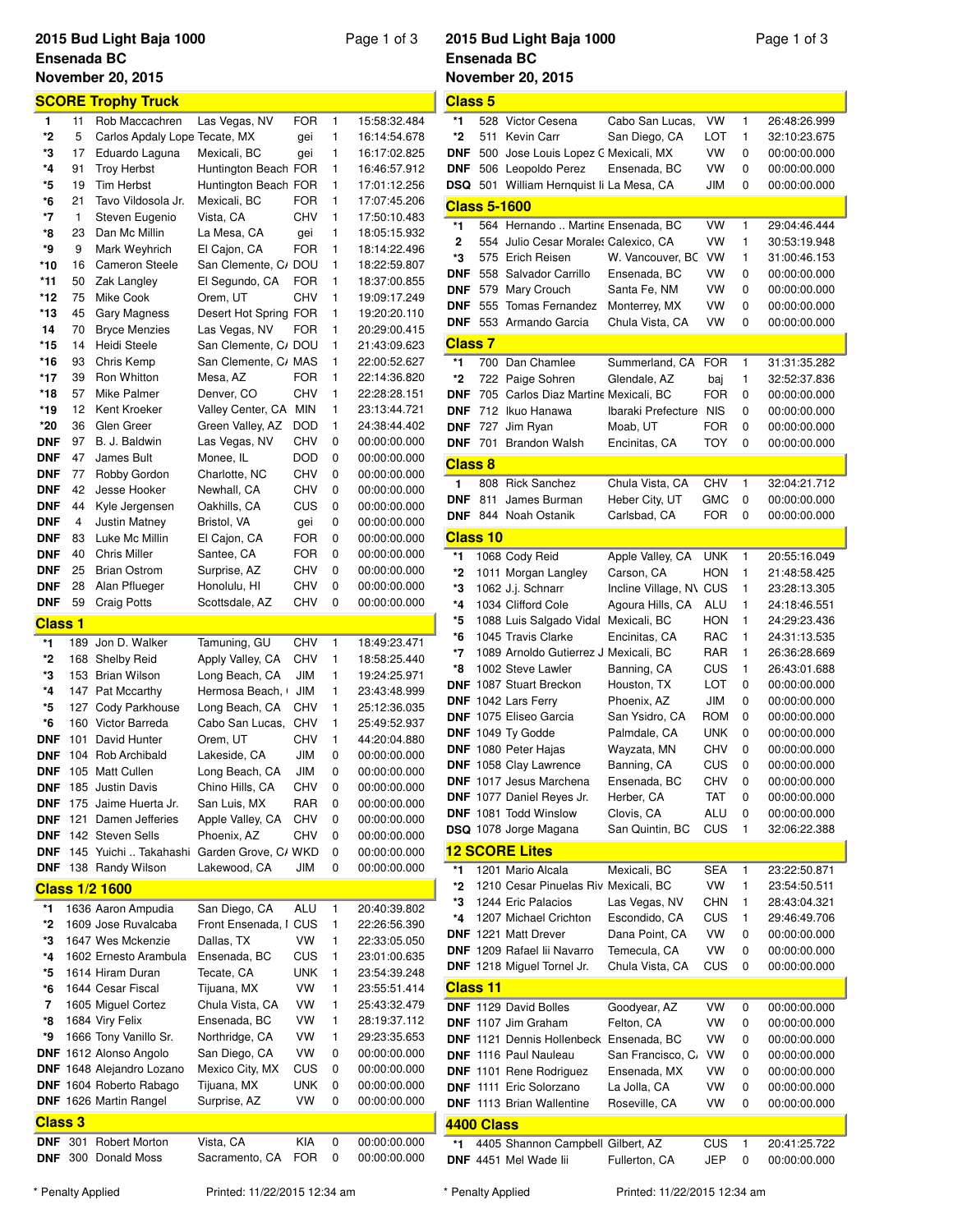# **Ensenada BC**

### **2015 Bud Light Baja 1000** Page 1 of 3 **November 20, 2015 SCORE Trophy Truck 1** 11 Rob Maccachren Las Vegas, NV FOR 1 15:58:32.484 **\*2** 5 Carlos Apdaly LopezTecate, MX gei 1 16:14:54.678 **\*3** 17 Eduardo Laguna Mexicali, BC gei 1 16:17:02.825 **\*4** 91 Troy Herbst Huntington Beach, CA FOR 1 16:46:57.912 **\*5** 19 Tim Herbst Huntington Beach, CA FOR 1 17:01:12.256 **\*6** 21 Tavo Vildosola Jr. Mexicali, BC FOR 1 17:07:45.206 **\*7** 1 Steven Eugenio Vista, CA CHV 1 17:50:10.483 **\*8** 23 Dan Mc Millin La Mesa, CA gei 1 18:05:15.932 **\*9** 9 Mark Weyhrich El Cajon, CA FOR 1 18:14:22.496 **\*10** 16 Cameron Steele San Clemente, CADOU 1 18:22:59.807 **\*11** 50 Zak Langley El Segundo, CA FOR 1 18:37:00.855 **\*12** 75 Mike Cook Orem, UT CHV 1 19:09:17.249 \*13 45 Gary Magness Desert Hot Spring FOR 1 19:20:20.110 **14** 70 Bryce Menzies Las Vegas, NV FOR 1 20:29:00.415 **\*15** 14 Heidi Steele San Clemente, CADOU 1 21:43:09.623 **\*16** 93 Chris Kemp San Clemente, CAMAS 1 22:00:52.627 **\*17** 39 Ron Whitton Mesa, AZ FOR 1 22:14:36.820 **\*18** 57 Mike Palmer Denver, CO CHV 1 22:28:28.151 **\*19** 12 Kent Kroeker Valley Center, CA MIN 1 23:13:44.721 **\*20** 36 Glen Greer Green Valley, AZ DOD 1 24:38:44.402 **DNF** 97 B. J. Baldwin Las Vegas, NV CHV 0 00:00:00.000 **DNF** 47 James Bult Monee, IL DOD 0 00:00:00.000 **DNF** 77 Robby Gordon Charlotte, NC CHV 0 00:00:00.000 **DNF** 42 Jesse Hooker Newhall, CA CHV 0 00:00:00.000 **DNF** 44 Kyle Jergensen Oakhills, CA CUS 0 00:00:00.000 **DNF** 4 Justin Matney Bristol, VA gei 0 00:00:00.000 **DNF** 83 Luke Mc Millin El Cajon, CA FOR 0 00:00:00.000 **DNF** 40 Chris Miller Santee, CA FOR 0 00:00:00.000 **DNF** 25 Brian Ostrom Surprise, AZ CHV 0 00:00:00.000 **DNF** 28 Alan Pflueger Honolulu, HI CHV 0 00:00:00.000 **DNF** 59 Craig Potts Scottsdale, AZ CHV 0 00:00:00.000 **Class 1 \*1** 189 Jon D. Walker Tamuning, GU CHV 1 18:49:23.471 **\*2** 168 Shelby Reid Apply Valley, CA CHV 1 18:58:25.440 **\*3** 153 Brian Wilson Long Beach, CA JIM 1 19:24:25.971 \*4 147 Pat Mccarthy Hermosa Beach, JIM 1 23:43:48.999 **\*5** 127 Cody Parkhouse Long Beach, CA CHV 1 25:12:36.035 **\*6** 160 Victor Barreda Cabo San Lucas, BCCHV 1 25:49:52.937 **DNF** 101 David Hunter Orem, UT CHV 1 44:20:04.880 **DNF** 104 Rob Archibald Lakeside, CA JIM 0 00:00:00.000 DNF 105 Matt Cullen Long Beach, CA JIM 0 00:00:00.000 **DNF** 185 Justin Davis Chino Hills, CA CHV 0 00:00:00.000 **DNF** 175 Jaime Huerta Jr. San Luis, MX RAR 0 00:00:00.000 **DNF** 121 Damen Jefferies Apple Valley, CA CHV 0 00:00:00.000 **DNF** 142 Steven Sells Phoenix, AZ CHV 0 00:00:00.000 **DNF** 145 Yuichi .. Takahashi Garden Grove, C/WKD 0 00:00:00.000 **DNF** 138 Randy Wilson Lakewood, CA JIM 0 00:00:00.000 **Class 1/2 1600 \*1** 1636 Aaron Ampudia San Diego, CA ALU 1 20:40:39.802 \*2 1609 Jose Ruvalcaba Front Ensenada, I CUS 1 22:26:56.390 **\*3** 1647 Wes Mckenzie Dallas, TX VW 1 22:33:05.050 **\*4** 1602 Ernesto Arambula Ensenada, BC CUS 1 23:01:00.635 **\*5** 1614 Hiram Duran Tecate, CA UNK 1 23:54:39.248 **\*6** 1644 Cesar Fiscal Tijuana, MX VW 1 23:55:51.414 **7** 1605 Miguel Cortez Chula Vista, CA VW 1 25:43:32.479 **\*8** 1684 Viry Felix Ensenada, BC VW 1 28:19:37.112 **\*9** 1666 Tony Vanillo Sr. Northridge, CA VW 1 29:23:35.653 **DNF** 1612 Alonso Angolo San Diego, CA VW 0 00:00:00.000 **DNF** 1648 Alejandro Lozano Mexico City, MX CUS 0 00:00:00.000 **DNF** 1604 Roberto Rabago Tijuana, MX UNK 0 00:00:00.000 **DNF** 1626 Martin Rangel Surprise, AZ VW 0 00:00:00.000

**DNF** 301 Robert Morton Vista, CA KIA 0 00:00:00.000 **DNF** 300 Donald Moss Sacramento, CA FOR 0 00:00:00.000

#### **2015 Bud Light Baja 1000** Page 1 of 3 **Ensenada BC November 20, 2015**

| <b>Class 5</b>      |     |                                                            |                                |            |        |                              |
|---------------------|-----|------------------------------------------------------------|--------------------------------|------------|--------|------------------------------|
| *1                  |     | 528 Victor Cesena                                          | Cabo San Lucas,                | VW         | 1      | 26:48:26.999                 |
| *2                  | 511 | Kevin Carr                                                 | San Diego, CA                  | LOT        | 1      | 32:10:23.675                 |
| DNF                 | 500 | Jose Louis Lopez C Mexicali, MX                            |                                | VW         | 0      | 00:00:00.000                 |
| <b>DNF</b>          |     | 506 Leopoldo Perez                                         | Ensenada, BC                   | VW         | 0      | 00:00:00.000                 |
| <b>DSQ</b>          |     | 501 William Hernquist li La Mesa, CA                       |                                | JIM        | 0      | 00:00:00.000                 |
|                     |     |                                                            |                                |            |        |                              |
| <b>Class 5-1600</b> |     |                                                            |                                |            |        |                              |
| *1                  |     | 564 Hernando  Martine Ensenada, BC                         |                                | VW         | 1      | 29:04:46.444                 |
| 2                   |     | 554 Julio Cesar Morales Calexico, CA                       |                                | VW         | 1      | 30:53:19.948                 |
| *3                  |     | 575 Erich Reisen                                           | W. Vancouver, BC               | VW         | 1      | 31:00:46.153                 |
| <b>DNF</b>          |     | 558 Salvador Carrillo                                      | Ensenada, BC                   | VW         | 0      | 00:00:00.000                 |
| <b>DNF</b>          | 579 | Mary Crouch                                                | Santa Fe, NM                   | VW         | 0      | 00:00:00.000                 |
| <b>DNF</b>          | 555 | Tomas Fernandez                                            | Monterrey, MX                  | VW         | 0      | 00:00:00.000                 |
| <b>DNF</b>          |     | 553 Armando Garcia                                         | Chula Vista, CA                | VW         | 0      | 00:00:00.000                 |
| <b>Class 7</b>      |     |                                                            |                                |            |        |                              |
| *1                  | 700 | Dan Chamlee                                                | Summerland, CA                 | <b>FOR</b> | 1      | 31:31:35.282                 |
| *2                  | 722 | Paige Sohren                                               | Glendale, AZ                   | baj        | 1      | 32:52:37.836                 |
| <b>DNF</b>          |     | 705 Carlos Diaz Martine Mexicali, BC                       |                                | <b>FOR</b> | 0      | 00:00:00.000                 |
| <b>DNF</b>          |     | 712 Ikuo Hanawa                                            | Ibaraki Prefecture             | <b>NIS</b> | 0      | 00:00:00.000                 |
| <b>DNF</b>          | 727 | Jim Ryan                                                   | Moab, UT                       | <b>FOR</b> | 0      | 00:00:00.000                 |
|                     |     |                                                            |                                | <b>TOY</b> |        |                              |
| <b>DNF</b>          | 701 | <b>Brandon Walsh</b>                                       | Encinitas, CA                  |            | 0      | 00:00:00.000                 |
| <b>Class 8</b>      |     |                                                            |                                |            |        |                              |
| 1                   |     | 808 Rick Sanchez                                           | Chula Vista, CA                | <b>CHV</b> | 1      | 32:04:21.712                 |
| <b>DNF</b>          | 811 | James Burman                                               | Heber City, UT                 | GMC        | 0      | 00:00:00.000                 |
| <b>DNF</b>          |     | 844 Noah Ostanik                                           | Carlsbad, CA                   | FOR        | 0      | 00:00:00.000                 |
| <b>Class 10</b>     |     |                                                            |                                |            |        |                              |
| *1                  |     | 1068 Cody Reid                                             | Apple Valley, CA               | <b>UNK</b> | 1      | 20:55:16.049                 |
| *2                  |     | 1011 Morgan Langley                                        | Carson, CA                     | <b>HON</b> | 1      | 21:48:58.425                 |
| *3                  |     |                                                            |                                |            | 1      |                              |
| *4                  |     | 1062 J.j. Schnarr                                          | Incline Village, N\ CUS        |            |        | 23:28:13.305                 |
|                     |     | 1034 Clifford Cole                                         | Agoura Hills, CA               | ALU        | 1      | 24:18:46.551                 |
| *5                  |     | 1088 Luis Salgado Vidal Mexicali, BC                       |                                | HON        | 1      | 24:29:23.436                 |
| *6                  |     | 1045 Travis Clarke                                         | Encinitas, CA                  | RAC        | 1      | 24:31:13.535                 |
| *7                  |     | 1089 Arnoldo Gutierrez J Mexicali, BC                      |                                | RAR        | 1      | 26:36:28.669                 |
| *8                  |     | 1002 Steve Lawler                                          | Banning, CA                    | CUS        | 1      | 26:43:01.688                 |
|                     |     | <b>DNF</b> 1087 Stuart Breckon                             | Houston, TX                    | LOT        | 0      | 00:00:00.000                 |
|                     |     | DNF 1042 Lars Ferry                                        | Phoenix, AZ                    | JIM        | 0      | 00:00:00.000                 |
|                     |     |                                                            | San Ysidro, CA                 |            |        |                              |
|                     |     | <b>DNF</b> 1075 Eliseo Garcia                              |                                | <b>ROM</b> | 0      | 00:00:00.000                 |
|                     |     | DNF 1049 Ty Godde                                          | Palmdale, CA                   | <b>UNK</b> | 0      | 00:00:00.000                 |
|                     |     | <b>DNF</b> 1080 Peter Hajas                                | Wayzata, MN                    | CHV        | 0      | 00:00:00.000                 |
|                     |     | DNF 1058 Clay Lawrence                                     | Banning, CA                    | CUS        | 0      | 00:00:00.000                 |
|                     |     | <b>DNF</b> 1017 Jesus Marchena                             | Ensenada, BC                   | CHV        | 0      | 00:00:00.000                 |
|                     |     | <b>DNF</b> 1077 Daniel Reyes Jr.                           | Herber, CA                     | TAT        | 0      | 00:00:00.000                 |
|                     |     | DNF 1081 Todd Winslow                                      | Clovis, CA                     | ALU        | 0      | 00:00:00.000                 |
|                     |     | DSQ 1078 Jorge Magana                                      | San Quintin, BC                | CUS        | 1      | 32:06:22.388                 |
|                     |     | <b>12 SCORE Lites</b>                                      |                                |            |        |                              |
| *1                  |     | 1201 Mario Alcala                                          | Mexicali, BC                   | <b>SEA</b> | 1      | 23:22:50.871                 |
| *2                  |     | 1210 Cesar Pinuelas Riv Mexicali, BC                       |                                | VW         | 1      | 23:54:50.511                 |
| *3                  |     | 1244 Eric Palacios                                         |                                |            | 1      |                              |
| *4                  |     |                                                            | Las Vegas, NV<br>Escondido, CA | CHN<br>CUS | 1      | 28:43:04.321<br>29:46:49.706 |
|                     |     | 1207 Michael Crichton<br><b>DNF</b> 1221 Matt Drever       |                                |            |        |                              |
|                     |     | <b>DNF</b> 1209 Rafael lii Navarro                         | Dana Point, CA<br>Temecula, CA | VW<br>VW   | 0<br>0 | 00:00:00.000<br>00:00:00.000 |
|                     |     | DNF 1218 Miguel Tornel Jr.                                 |                                | CUS        | 0      | 00:00:00.000                 |
|                     |     |                                                            | Chula Vista, CA                |            |        |                              |
| <b>Class 11</b>     |     |                                                            |                                |            |        |                              |
|                     |     | DNF 1129 David Bolles                                      | Goodyear, AZ                   | VW         | 0      | 00:00:00.000                 |
|                     |     | DNF 1107 Jim Graham                                        | Felton, CA                     | VW         | 0      | 00:00:00.000                 |
|                     |     | DNF 1121 Dennis Hollenbeck Ensenada, BC                    |                                | VW         | 0      | 00:00:00.000                 |
|                     |     | DNF 1116 Paul Nauleau                                      | San Francisco, C.              | VW         | 0      | 00:00:00.000                 |
|                     |     | <b>DNF</b> 1101 Rene Rodriguez                             | Ensenada, MX                   | VW         | 0      | 00:00:00.000                 |
|                     |     | <b>DNF</b> 1111 Eric Solorzano                             | La Jolla, CA                   | VW         | 0      | 00:00:00.000                 |
|                     |     | <b>DNF</b> 1113 Brian Wallentine                           | Roseville, CA                  | VW         | 0      | 00:00:00.000                 |
| 4400 Class          |     |                                                            |                                |            |        |                              |
| *1                  |     | 4405 Shannon Campbell Gilbert, AZ<br>DNF 4451 Mel Wade lii |                                | CUS        | 1      | 20:41:25.722                 |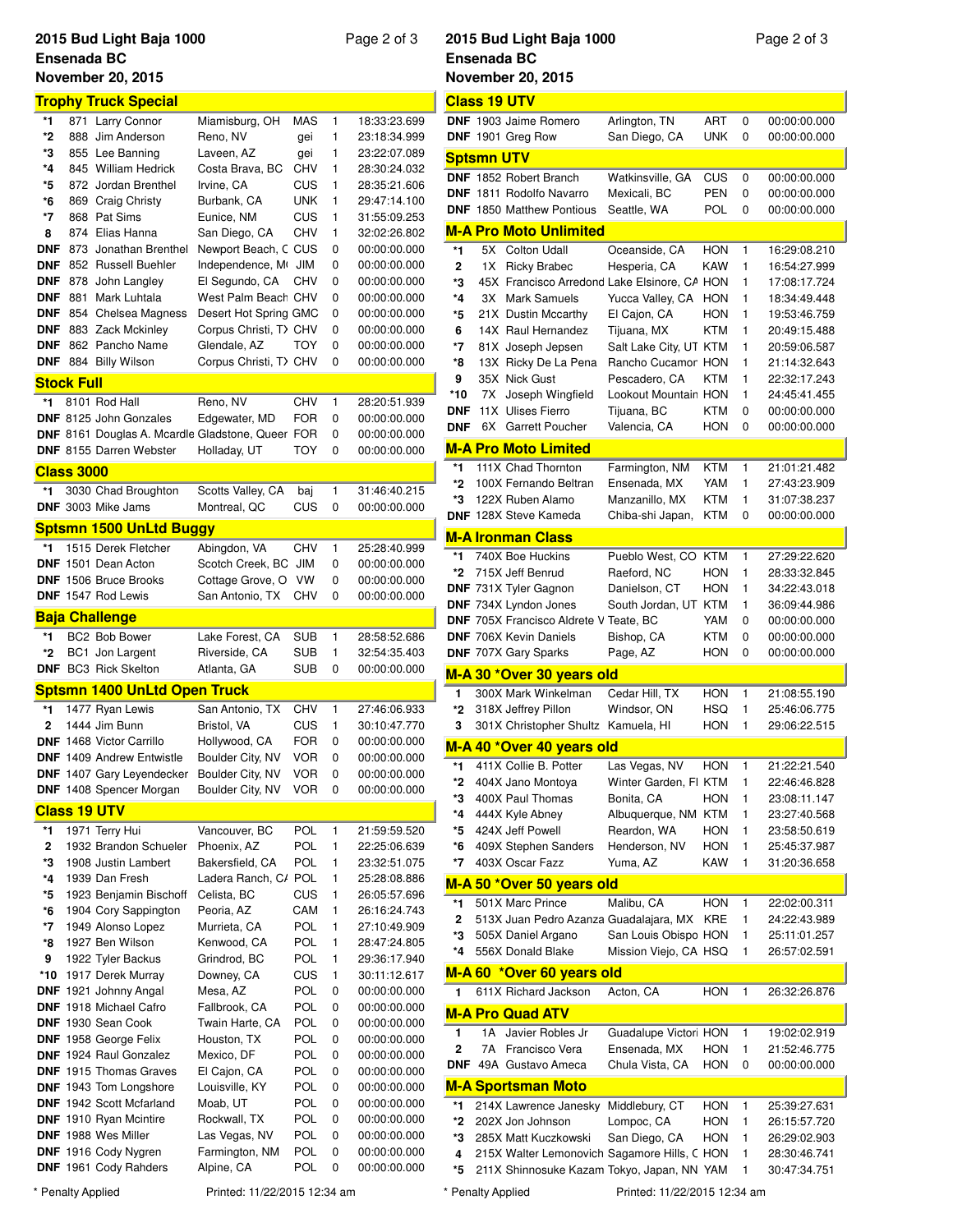# **2015 Bud Light Baja 1000** Page 2 of 3 **Ensenada BC**

## **November 20, 2015 Trophy Truck Special \*1** 871 Larry Connor Miamisburg, OH MAS 1 18:33:23.699 **\*2** 888 Jim Anderson Reno, NV gei 1 23:18:34.999 **\*3** 855 Lee Banning Laveen, AZ gei 1 23:22:07.089 **\*4** 845 William Hedrick Costa Brava, BC CHV 1 28:30:24.032 **\*5** 872 Jordan Brenthel Irvine, CA CUS 1 28:35:21.606 **\*6** 869 Craig Christy Burbank, CA UNK 1 29:47:14.100 **\*7** 868 Pat Sims Eunice, NM CUS 1 31:55:09.253 **8** 874 Elias Hanna San Diego, CA CHV 1 32:02:26.802 **DNF** 873 Jonathan Brenthel Newport Beach, C CUS 0 00:00:00.000 **DNF** 852 Russell Buehler Independence, Mt JIM 0 00:00:00.000 **DNF** 878 John Langley El Segundo, CA CHV 0 00:00:00.000 **DNF** 881 Mark Luhtala West Palm Beach CHV 0 00:00:00.000 **DNF** 854 Chelsea Magness Desert Hot Spring GMC 0 00:00:00.000 **DNF** 883 Zack Mckinley Corpus Christi, T CHV 0 00:00:00.000 **DNF** 862 Pancho Name Glendale, AZ TOY 0 00:00:00.000 **DNF** 884 Billy Wilson Corpus Christi, T CHV 0 00:00:00.000 **Stock Full \*1** 8101 Rod Hall Reno, NV CHV 1 28:20:51.939 **DNF** 8125 John Gonzales Edgewater, MD FOR 0 00:00:00.000 **DNF** 8161 Douglas A. Mcardle Gladstone, Queer FOR 0 00:00:00.000 **DNF** 8155 Darren Webster Holladay, UT TOY 0 00:00:00.000 **Class 3000 \*1** 3030 Chad Broughton Scotts Valley, CA baj 1 31:46:40.215 **DNF** 3003 Mike Jams Montreal, QC CUS 0 00:00:00.000 **Sptsmn 1500 UnLtd Buggy \*1** 1515 Derek Fletcher Abingdon, VA CHV 1 25:28:40.999 **DNF** 1501 Dean Acton Scotch Creek, BC JIM 0 00:00:00.000 **DNF** 1506 Bruce Brooks Cottage Grove, O VW 0 00:00:00.000 **DNF** 1547 Rod Lewis San Antonio, TX CHV 0 00:00:00.000 **Baja Challenge \*1** BC2 Bob Bower Lake Forest, CA SUB 1 28:58:52.686 **\*2** BC1 Jon Largent Riverside, CA SUB 1 32:54:35.403 **DNF** BC3 Rick Skelton Atlanta, GA SUB 0 00:00:00.000 **Sptsmn 1400 UnLtd Open Truck \*1** 1477 Ryan Lewis San Antonio, TX CHV 1 27:46:06.933 **2** 1444 Jim Bunn Bristol, VA CUS 1 30:10:47.770 **DNF** 1468 Victor Carrillo Hollywood, CA FOR 0 00:00:00.000 **DNF** 1409 Andrew Entwistle Boulder City, NV VOR 0 00:00:00.000 **DNF** 1407 Gary Leyendecker Boulder City, NV VOR 0 00:00:00.000 **DNF** 1408 Spencer Morgan Boulder City, NV VOR 0 00:00:00.000 **Class 19 UTV \*1** 1971 Terry Hui Vancouver, BC POL 1 21:59:59.520 **2** 1932 Brandon Schueler Phoenix, AZ POL 1 22:25:06.639 **\*3** 1908 Justin Lambert Bakersfield, CA POL 1 23:32:51.075 **\*4** 1939 Dan Fresh Ladera Ranch, CA POL 1 25:28:08.886 **\*5** 1923 Benjamin Bischoff Celista, BC CUS 1 26:05:57.696 **\*6** 1904 Cory Sappington Peoria, AZ CAM 1 26:16:24.743 **\*7** 1949 Alonso Lopez Murrieta, CA POL 1 27:10:49.909 **\*8** 1927 Ben Wilson Kenwood, CA POL 1 28:47:24.805 **9** 1922 Tyler Backus Grindrod, BC POL 1 29:36:17.940 **\*10** 1917 Derek Murray Downey, CA CUS 1 30:11:12.617 **DNF** 1921 Johnny Angal Mesa, AZ POL 0 00:00:00.000 **DNF** 1918 Michael Cafro Fallbrook, CA POL 0 00:00:00.000 **DNF** 1930 Sean Cook Twain Harte, CA POL 0 00:00:00.000 **DNF** 1958 George Felix Houston, TX POL 0 00:00:00.000 **DNF** 1924 Raul Gonzalez Mexico, DF POL 0 00:00:00.000 **DNF** 1915 Thomas Graves El Cajon, CA POL 0 00:00:00.000 **DNF** 1943 Tom Longshore Louisville, KY POL 0 00:00:00.000 **DNF** 1942 Scott Mcfarland Moab, UT POL 0 00:00:00.000 **DNF** 1910 Ryan Mcintire Rockwall, TX POL 0 00:00:00.000 **DNF** 1988 Wes Miller Las Vegas, NV POL 0 00:00:00.000 **DNF** 1916 Cody Nygren Farmington, NM POL 0 00:00:00.000

**DNF** 1961 Cody Rahders Alpine, CA POL 0 00:00:00.000

# **2015 Bud Light Baja 1000** Page 2 of 3 **Ensenada BC November 20, 2015**

**Class 19 UTV**

|            |                   | <b>DNF</b> 1903 Jaime Romero                 | Arlington, TN                | ART        | 0      | 00:00:00.000 |
|------------|-------------------|----------------------------------------------|------------------------------|------------|--------|--------------|
|            |                   | DNF 1901 Greg Row                            | San Diego, CA                | UNK        | 0      | 00:00:00.000 |
|            | <b>Sptsmn UTV</b> |                                              |                              |            |        |              |
|            |                   | <b>DNF</b> 1852 Robert Branch                | Watkinsville, GA             | CUS        | 0      | 00:00:00.000 |
|            |                   | <b>DNF</b> 1811 Rodolfo Navarro              | Mexicali, BC                 | <b>PEN</b> | 0      | 00:00:00.000 |
|            |                   | <b>DNF</b> 1850 Matthew Pontious             | Seattle, WA                  | POL        | 0      | 00:00:00.000 |
|            |                   |                                              |                              |            |        |              |
|            |                   | <u>M-A Pro Moto Unlimited</u>                |                              |            |        |              |
| *1         | 5Х                | <b>Colton Udall</b>                          | Oceanside, CA                | HON        | 1      | 16:29:08.210 |
| 2          | 1X                | <b>Ricky Brabec</b>                          | Hesperia, CA                 | <b>KAW</b> | 1      | 16:54:27.999 |
| *3         |                   | 45X Francisco Arredond Lake Elsinore, CA HON |                              |            | 1      | 17:08:17.724 |
| *4         | ЗХ                | <b>Mark Samuels</b>                          | Yucca Valley, CA             | HON        | 1      | 18:34:49.448 |
| *5         |                   | 21X Dustin Mccarthy                          | El Cajon, CA                 | HON        | 1      | 19:53:46.759 |
| 6          |                   | 14X Raul Hernandez                           | Tijuana, MX                  | KTM        | 1      | 20:49:15.488 |
| *7         |                   | 81X Joseph Jepsen                            | Salt Lake City, UT KTM       |            | 1      | 20:59:06.587 |
| *8         |                   | 13X Ricky De La Pena                         | Rancho Cucamor HON           |            | 1      | 21:14:32.643 |
| 9          |                   | 35X Nick Gust                                | Pescadero, CA                | KTM        | 1      | 22:32:17.243 |
| *10        | 7X                | Joseph Wingfield                             | Lookout Mountain HON         |            | 1      | 24:45:41.455 |
| <b>DNF</b> |                   | 11X Ulises Fierro                            | Tijuana, BC                  | <b>KTM</b> | 0      | 00:00:00.000 |
| <b>DNF</b> | 6X                | Garrett Poucher                              | Valencia, CA                 | HON        | 0      | 00:00:00.000 |
|            |                   | <b>M-A Pro Moto Limited</b>                  |                              |            |        |              |
| *1         |                   | 111X Chad Thornton                           | Farmington, NM               | KTM        | 1      | 21:01:21.482 |
| *2         |                   | 100X Fernando Beltran                        | Ensenada, MX                 | YAM        | 1      | 27:43:23.909 |
| *3         |                   | 122X Ruben Alamo                             | Manzanillo, MX               | KTM        | 1      | 31:07:38.237 |
|            |                   | <b>DNF</b> 128X Steve Kameda                 | Chiba-shi Japan,             | KTM        | 0      | 00:00:00.000 |
|            |                   | <b>M-A Ironman Class</b>                     |                              |            |        |              |
| *1         |                   |                                              |                              |            |        |              |
| *2         |                   | 740X Boe Huckins<br>715X Jeff Benrud         | Pueblo West, CO              | KTM        | 1<br>1 | 27:29:22.620 |
|            |                   |                                              | Raeford, NC                  | HON        |        | 28:33:32.845 |
|            |                   | DNF 731X Tyler Gagnon                        | Danielson, CT                | HON        | 1      | 34:22:43.018 |
|            |                   | <b>DNF</b> 734X Lyndon Jones                 | South Jordan, UT KTM         |            | 1      | 36:09:44.986 |
|            |                   | DNF 705X Francisco Aldrete V Teate, BC       |                              | YAM        | 0      | 00:00:00.000 |
|            |                   | <b>DNF</b> 706X Kevin Daniels                | Bishop, CA                   | KTM        | 0      | 00:00:00.000 |
|            |                   | <b>DNF 707X Gary Sparks</b>                  |                              |            |        | 00:00:00.000 |
|            |                   |                                              | Page, AZ                     | HON        | 0      |              |
|            |                   | <u>M-A 30 *Over 30 years old</u>             |                              |            |        |              |
| 1          |                   | 300X Mark Winkelman                          | Cedar Hill, TX               | <b>HON</b> | 1      | 21:08:55.190 |
| *2         |                   | 318X Jeffrey Pillon                          | Windsor, ON                  | <b>HSQ</b> | 1      | 25:46:06.775 |
| 3          |                   | 301X Christopher Shultz Kamuela, HI          |                              | HON        | 1      | 29:06:22.515 |
|            |                   | M-A 40 *Over 40 years old                    |                              |            |        |              |
| *1         |                   | 411X Collie B. Potter                        | Las Vegas, NV                | <b>HON</b> | 1      | 21:22:21.540 |
| *2         |                   | 404X Jano Montoya                            | Winter Garden, FI KTM        |            | 1      | 22:46:46.828 |
| *3         |                   | 400X Paul Thomas                             | Bonita, CA                   | HON        | 1      | 23:08:11.147 |
| *4         |                   | 444X Kyle Abney                              | Albuquerque, NM KTM          |            | 1      | 23:27:40.568 |
| *5         |                   | 424X Jeff Powell                             |                              | HON        | 1      | 23:58:50.619 |
| *6         |                   | 409X Stephen Sanders                         | Reardon, WA<br>Henderson, NV | <b>HON</b> | 1      | 25:45:37.987 |
| *7         |                   | 403X Oscar Fazz                              | Yuma, AZ                     | KAW        | 1      | 31:20:36.658 |
|            |                   |                                              |                              |            |        |              |
|            |                   | M-A 50 *Over 50 years old                    |                              |            |        |              |
| *1         |                   | 501X Marc Prince                             | Malibu, CA                   | <b>HON</b> | 1      | 22:02:00.311 |
| 2          |                   | 513X Juan Pedro Azanza Guadalajara, MX       |                              | KRE        | 1      | 24:22:43.989 |
| *3<br>*4   |                   | 505X Daniel Argano                           | San Louis Obispo HON         |            | 1      | 25:11:01.257 |
|            |                   | 556X Donald Blake                            | Mission Viejo, CA HSQ        |            | 1      | 26:57:02.591 |
|            |                   | M-A 60 *Over 60 years old                    |                              |            |        |              |
| 1          |                   | 611X Richard Jackson                         | Acton, CA                    | <b>HON</b> | 1      | 26:32:26.876 |
|            |                   | <b>M-A Pro Quad ATV</b>                      |                              |            |        |              |
| 1          | 1 A               | Javier Robles Jr                             | Guadalupe Victori HON        |            | 1      | 19:02:02.919 |
| 2          | 7Α                | Francisco Vera                               | Ensenada, MX                 | <b>HON</b> | 1      | 21:52:46.775 |
| <b>DNF</b> |                   | 49A Gustavo Ameca                            | Chula Vista, CA              | HON        | 0      | 00:00:00.000 |
|            |                   | <u>M-A Sportsman Moto</u>                    |                              |            |        |              |
| *1         |                   | 214X Lawrence Janesky                        | Middlebury, CT               | HON        | 1      | 25:39:27.631 |
| *2         |                   | 202X Jon Johnson                             | Lompoc, CA                   | <b>HON</b> | 1      | 26:15:57.720 |
| *3         |                   | 285X Matt Kuczkowski                         | San Diego, CA                | <b>HON</b> | 1      | 26:29:02.903 |
| 4          |                   | 215X Walter Lemonovich Sagamore Hills, C HON |                              |            | 1      | 28:30:46.741 |
| *5         |                   | 211X Shinnosuke Kazam Tokyo, Japan, NN YAM   |                              |            | 1      | 30:47:34.751 |
|            | * Penalty Applied |                                              | Printed: 11/22/2015 12:34 am |            |        |              |

\* Penalty Applied Printed: 11/22/2015 12:34 am